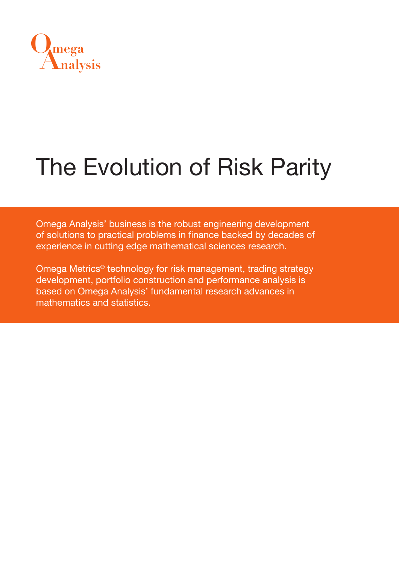

# The Evolution of Risk Parity

Omega Analysis' business is the robust engineering development of solutions to practical problems in finance backed by decades of experience in cutting edge mathematical sciences research.

Omega Metrics® technology for risk management, trading strategy development, portfolio construction and performance analysis is based on Omega Analysis' fundamental research advances in mathematics and statistics.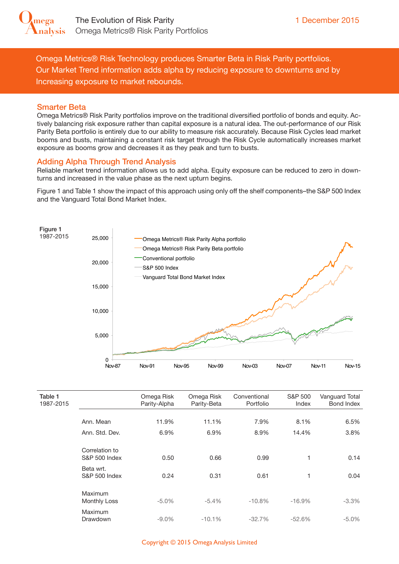

Omega Metrics® Risk Technology produces Smarter Beta in Risk Parity portfolios. Our Market Trend information adds alpha by reducing exposure to downturns and by Increasing exposure to market rebounds.

#### Smarter Beta

Omega Metrics® Risk Parity portfolios improve on the traditional diversified portfolio of bonds and equity. Actively balancing risk exposure rather than capital exposure is a natural idea. The out-performance of our Risk Parity Beta portfolio is entirely due to our ability to measure risk accurately. Because Risk Cycles lead market booms and busts, maintaining a constant risk target through the Risk Cycle automatically increases market exposure as booms grow and decreases it as they peak and turn to busts.

#### Adding Alpha Through Trend Analysis

Reliable market trend information allows us to add alpha. Equity exposure can be reduced to zero in downturns and increased in the value phase as the next upturn begins.

Figure 1 and Table 1 show the impact of this approach using only off the shelf components–the S&P 500 Index and the Vanguard Total Bond Market Index.



| Table 1<br>1987-2015 |                                            | Omega Risk<br>Parity-Alpha | Omega Risk<br>Parity-Beta | Conventional<br>Portfolio | S&P 500<br>Index | Vanguard Total<br>Bond Index |
|----------------------|--------------------------------------------|----------------------------|---------------------------|---------------------------|------------------|------------------------------|
|                      |                                            |                            |                           |                           |                  |                              |
|                      | Ann. Mean                                  | 11.9%                      | 11.1%                     | 7.9%                      | 8.1%             | 6.5%                         |
|                      | Ann. Std. Dev.                             | 6.9%                       | 6.9%                      | 8.9%                      | 14.4%            | 3.8%                         |
|                      |                                            |                            |                           |                           |                  |                              |
|                      | Correlation to<br><b>S&amp;P 500 Index</b> | 0.50                       | 0.66                      | 0.99                      | 1                | 0.14                         |
|                      | Beta wrt.                                  |                            |                           |                           |                  |                              |
|                      | <b>S&amp;P 500 Index</b>                   | 0.24                       | 0.31                      | 0.61                      | 1                | 0.04                         |
|                      |                                            |                            |                           |                           |                  |                              |
|                      | Maximum<br><b>Monthly Loss</b>             | $-5.0\%$                   | $-5.4%$                   | $-10.8%$                  | $-16.9%$         | $-3.3%$                      |
|                      | Maximum                                    |                            |                           |                           |                  |                              |
|                      | Drawdown                                   | $-9.0\%$                   | $-10.1%$                  | $-32.7%$                  | $-52.6%$         | $-5.0\%$                     |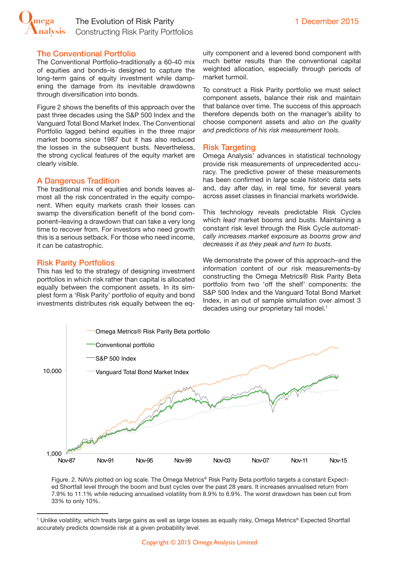

#### The Conventional Portfolio

The Conventional Portfolio–traditionally a 60-40 mix of equities and bonds–is designed to capture the long-term gains of equity investment while dampening the damage from its inevitable drawdowns through diversification into bonds.

Figure 2 shows the benefits of this approach over the past three decades using the S&P 500 Index and the Vanguard Total Bond Market Index. The Conventional Portfolio lagged behind equities in the three major market booms since 1987 but it has also reduced the losses in the subsequent busts. Nevertheless, the strong cyclical features of the equity market are clearly visible.

#### A Dangerous Tradition

The traditional mix of equities and bonds leaves almost all the risk concentrated in the equity component. When equity markets crash their losses can swamp the diversification benefit of the bond component–leaving a drawdown that can take a very long time to recover from. For investors who need growth this is a serious setback. For those who need income, it can be catastrophic.

#### Risk Parity Portfolios

This has led to the strategy of designing investment portfolios in which risk rather than capital is allocated equally between the component assets. In its sim-100,000 plest form a 'Risk Parity' portfolio of equity and bond investments distributes risk equally between the equity component and a levered bond component with much better results than the conventional capital weighted allocation, especially through periods of market turmoil.

To construct a Risk Parity portfolio we must select component assets, balance their risk and maintain that balance over time. The success of this approach therefore depends both on the manager's ability to choose component assets and *also on the quality and predictions of his risk measurement tools.*

#### Risk Targeting

Omega Analysis' advances in statistical technology provide risk measurements of unprecedented accuracy. The predictive power of these measurements has been confirmed in large scale historic data sets and, day after day, in real time, for several years across asset classes in financial markets worldwide.

This technology reveals predictable Risk Cycles which *lead* market booms and busts. Maintaining a constant risk level through the Risk Cycle *automatically increases market exposure as booms grow and decreases it as they peak and turn to busts.*

We demonstrate the power of this approach–and the information content of our risk measurements–by constructing the Omega Metrics® Risk Parity Beta portfolio from two 'off the shelf' components: the S&P 500 Index and the Vanguard Total Bond Market Index, in an out of sample simulation over almost 3 decades using our proprietary tail model.<sup>1</sup>



Figure. 2. NAVs plotted on log scale. The Omega Metrics® Risk Parity Beta portfolio targets a constant Expected Shortfall level through the boom and bust cycles over the past 28 years. It increases annualised return from 7.9% to 11.1% while reducing annualised volatility from 8.9% to 6.9%. The worst drawdown has been cut from 33% to only 10%.

<sup>1</sup> Unlike volatility, which treats large gains as well as large losses as equally risky, Omega Metrics® Expected Shortfall accurately predicts downside risk at a given probability level.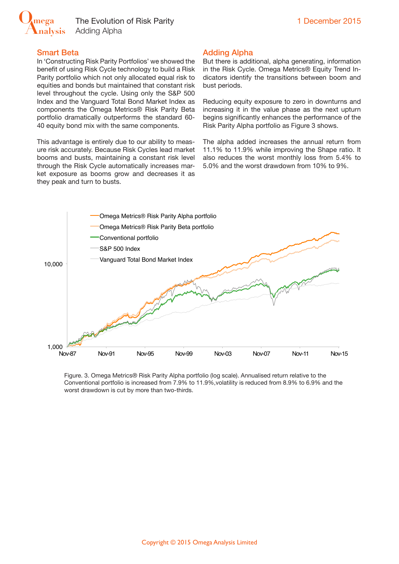

### Smart Beta

In 'Constructing Risk Parity Portfolios' we showed the benefit of using Risk Cycle technology to build a Risk Parity portfolio which not only allocated equal risk to equities and bonds but maintained that constant risk level throughout the cycle. Using only the S&P 500 Index and the Vanguard Total Bond Market Index as components the Omega Metrics® Risk Parity Beta portfolio dramatically outperforms the standard 60- 40 equity bond mix with the same components.

This advantage is entirely due to our ability to measure risk accurately. Because Risk Cycles lead market booms and busts, maintaining a constant risk level through the Risk Cycle automatically increases market exposure as booms grow and decreases it as they peak and turn to busts.

## Adding Alpha

But there is additional, alpha generating, information in the Risk Cycle. Omega Metrics® Equity Trend Indicators identify the transitions between boom and bust periods.

Reducing equity exposure to zero in downturns and increasing it in the value phase as the next upturn begins significantly enhances the performance of the Risk Parity Alpha portfolio as Figure 3 shows.

The alpha added increases the annual return from 11.1% to 11.9% while improving the Shape ratio. It also reduces the worst monthly loss from 5.4% to 5.0% and the worst drawdown from 10% to 9%.



Figure. 3. Omega Metrics® Risk Parity Alpha portfolio (log scale). Annualised return relative to the Conventional portfolio is increased from 7.9% to 11.9%,volatility is reduced from 8.9% to 6.9% and the worst drawdown is cut by more than two-thirds.